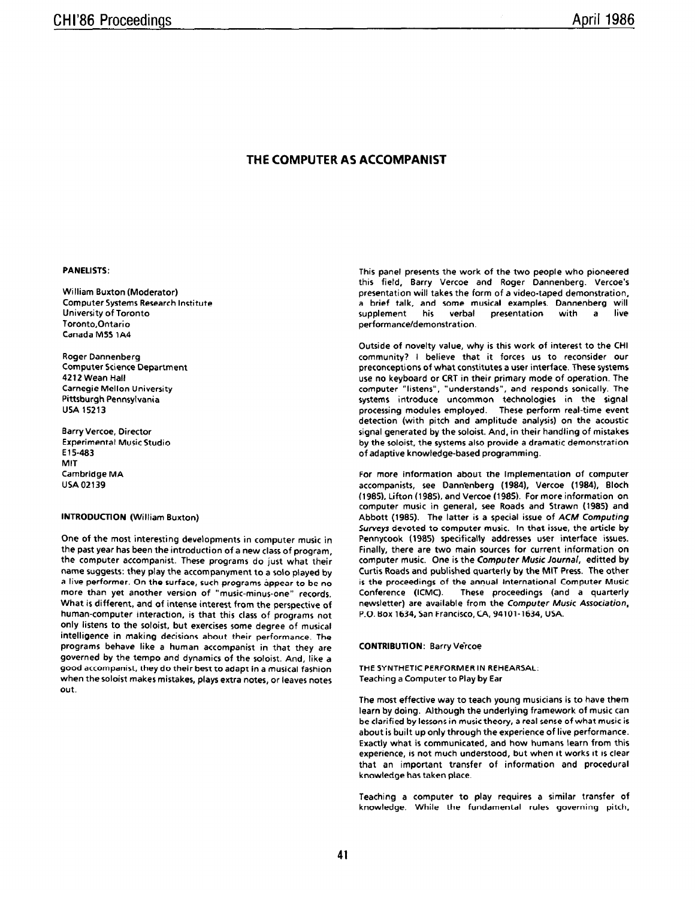# THE COMPUTER AS ACCOMPANIST

### PANELISTS:

William Buxton (Moderator) Computer Systems Research Institute University of Toronto Toronto,Ontario Canada MSS 1A4

Roger Dannenberg Computer Science Department 4212 Wean Hall Carnegie Mellon University Pittsburgh Pennsylvania USA 15213

Barry Vercoe. Director Experimental MusicStudio E 15-483 MIT Cambridge MA USA 02139

# INTRODUCTION (William Buxton)

One of the most interesting developments in computer music in the past year has been the introduction of a new class of program, the computer accompanist. These programs do just what their name suggests: they play the accompanyment to a solo played by a live performer. On the surface, such programs appear to be no more than yet another version of "music-minus-one" records. What is different, and of intense interest from the perspective of human-computer interaction, is that this class of programs not only listens to the soloist, but exercises some degree of musical intelligence in making decisions about their performance. The programs behave like a human accompanist in that they are governed by the tempo and dynamics of the soloist. And, like a good accompanist, they do their best to adapt in a musical fashion when the soloist makes mistakes, plays extra notes, or leaves notes out.

This panel presents the work of the two people who pioneered this field, Barry Vercoe and Roger Dannenberg. Vercoe's presentation will takes the form of a video-taped demonstration, a brief talk, and some musical examples. Dannenberg will supplement his verbal presentation with a live performance/demonstration.

Outside of novelty value, why is this work of interest to the CHI community? I believe that it forces us to reconsider our preconceptions of what constitutes a user interface. These systems use no keyboard or CRT in their primary mode of operation. The computer "listens", "understands", and responds sonically. The systems introduce uncommon technologies in the signal processing modules employed. These perform real-time event detection (with pitch and amplitude analysis) on the acoustic signal generated by the soloist. And, in their handling of mistakes by the soloist, the systems also provide a dramatic demonstration of adaptive knowledge-based programming.

For more information about the implementation of computer accompanists, see Dann'enberg (1984). Vercoe (1984). Bloch (1985). Lifton (1985), and Vercoe (1985). For more information on computer music in general, see Roads and Strawn (1985) and Abbott (1985). The latter is a special issue of ACM Computing Surveys devoted to computer music. In that issue, the article by Pennycook (1985) specifically addresses user interface issues. Finally, there are two main sources for current information on computer music. One is the Computer Music Journal, editted by Curtis Roads and published quarterly by the MIT Press. The other is the proceedings of the annual International Computer Music<br>Conference (ICMC). These proceedings (and a quarterly These proceedings (and a quarterly newsletter) are available from the Computer Music Association, P.O. Box 1634, San Francisco,CA, 94101-1634, USA.

### CONTRIBUTION: Barry Vercoe

THE SYNTHETIC PERFORMER IN REHEARSAL: Teaching a Computer to Play by Ear

The most effective way to teach young musicians is to have them learn by doing. Although the underlying framework of music can be clarified by lessons in music theory, a real sense of what music is about is built up only through the experience of live performance. Exactly what is communirated, and how humans learn from this experience, is not much understood, but when it works it is clear that an important transfer of information and procedural knowledge has taken place.

Teaching a computer to play requires a similar transfer of knowledge. While the fundamental rules governing pitch,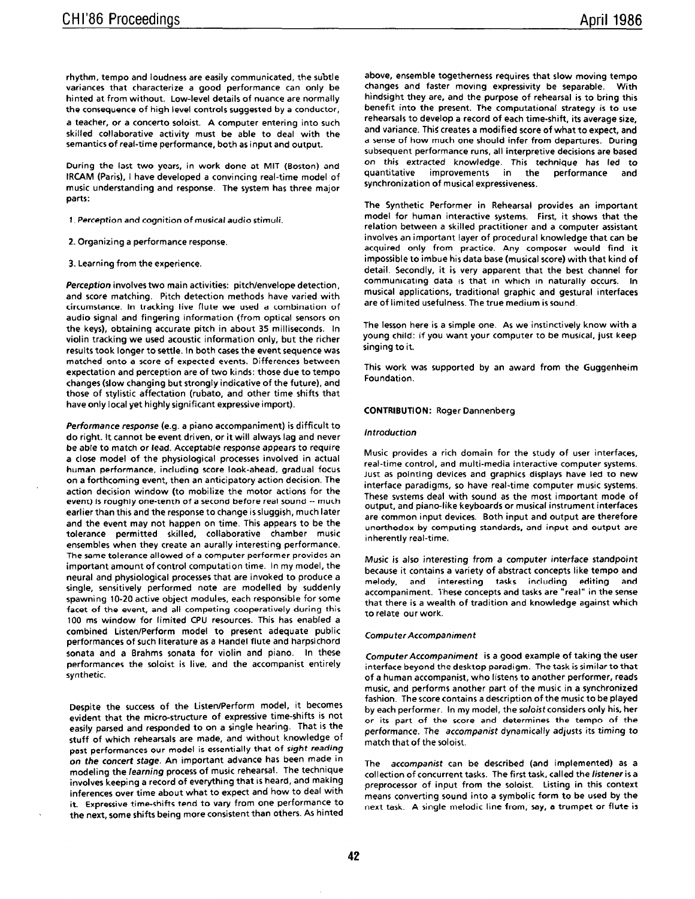rhythm, tempo and loudness are easily communicated, the subtle variances that characterize a good performance can only be hinted at from without. Low-level details of nuance are normally the consequence of high level controls suggested by a conductor, a teacher, or a concerto soloist. A computer entering into such skilled collaborative activity must be able to deal with the semantics of real-time performance, both as input and output.

During the last two years, in work done at MIT (Boston) and IRCAM (Paris), I have developed a convincing real-time model of music understanding and response. The system has three major parts:

- 1. Perception and cognition of musical audio stimuli.
- 2. Organizing a performance response.
- 3. Learning from the experience.

Perception involves two main activities: pitch/envelope detection, and score matching. Pitch detection methods have varied with circumstance. In tracking live flute we used a combination of audio signal and fingering information (from optical sensors on the keys), obtaining accurate pitch in about 35 milliseconds. In violin tracking we used acoustic information only, but the richer results took longer to settle. In both cases the event sequence was matched onto a score of expected events. Differences between expectation and perception are of two kinds: those due to tempo changes (slow changing but strongly indicative of the future), and those of stylistic affectation (rubato, and other time shifts that have only local yet highly significant expressive import).

Performance response (e.g. a piano accompaniment) is difficult to do right. It cannot be event driven, or it will always lag and never be able to match or lead. Acceptable response appears to require a close model of the physiological processes involved in actual human performance, including score look-ahead, gradual focus on a forthcoming event, then an anticipatory action decision. The action decision window (to mobilize the motor actions for the event) is roughly one-tenth of a second before real sound -- much earlier than this and the response to change issluggish, much later and the event may not happen on time. This appears to be the tolerance permitted skilled, collaborative chamber music ensembles when they create an aurally interesting performance. The same tolerance allowed of a computer performer provides an important amount of control computation time. In my model, the neural and physiological processes that are invoked to produce a single, sensitively performed note are modelled by suddenly spawning 10-20 active object modules, each responsible for some facet of the event, and all competing cooperatively during this 100 ms window for limited CPU resources. This has enabled a combined Listen/Perform model to present adequate public performances of such literature as a Handel flute and harpsichord sonata and a Brahms sonata for violin and piano. In these performances the soloist is live, and the accompanist entirely synthetic.

Despite the success of the Listen/Perform model, it becomes evident that the micro-structure of expressive time-shifts is not easily parsed and responded to on a single hearing. That is the stuff of which rehearsals are made, and without knowledge of past performances our model is essentially that of sight reading on the concert stage. An important advance has been made in modeling the /earning process of music rehearsal. The technique involves keeping a record of everything that is heard, and making inferences over time about what to expect and how to deal with it. Expressive time-shifts tend to vary from one performance to the next, some shifts being more consistent than others. As hinted above, ensemble togetherness requires that slow moving tempo changes and faster moving expressivity be separable. With hindsight they are, and the purpose of rehearsal is to bring this benefit into the present. The computational strategy is to use rehearsals to develop a record of each time-shift, its average size, and variance. This creates a modified score of what to expect, and a sense of how much one should infer from departures. During subsequent performance runs, all interpretive decisions are based on this extracted knowledge. This technique has led to quantitative improvements in the performance and synchronization of musical expressiveness.

The Synthetic Performer in Rehearsal provides an important model for human interactive systems. First, it shows that the relation between a skilled practitioner and a computer assistant involves an important layer of procedural knowledge that can be acquired only from practice. Any composer would find it impossible to imbue his data base (musical score) with that kind of detail. Secondly, it is very apparent that the best channel for communicating data is that in which in naturally occurs. In musical applications, traditional graphic and gestural interfaces are of limited usefulness. The true medium is sound.

The lesson here is a simple one. As we instinctively know with a young child: if you want your computer to be musical, just keep singing to it.

This work was supported by an award from the Guggenheim Foundation.

### CONTRIBUTION: Roger Dannenberg

## Introduction

Music provides a rich domain for the study of user interfaces, real-time control, and multi-media interactive computer systems. Just as pointing devices and graphics displays have led to new interface paradigms, so have real-time computer music systems. These systems deal with sound as the most important mode of output, and piano-like keyboards or musical instrument interfaces are common input devices. Both input and output are therefore unorthodox by computing standards, and input and output are inherently real-time.

Music is also interesting from a computer interface standpoint because it contains a variety of abstract concepts like tempo and melody, and interesting tasks including editing and accompaniment. These concepts and tasks are "real" in the sense that there is a wealth of tradition and knowledge against which to relate our work.

## Computer Accompaniment

ComputerAccompaniment is a good example of taking the user interface beyond the desktop paradigm. The task is similar to that of a human accompanist, who listens to another performer, reads music, and performs another part of the music in a synchronized fashion. The score contains a description of the music to be played by each performer. In my model, the soloist considers only his, her or its part of the score and determines the tempo of the performance. The accompanist dynamically adjusts its timing to match that of the soloist.

The accompanist can be described (and implemented) as a collection of concurrent tasks. The first task, called the listener is a preprocessor of input from the soloist. Listing in this context means converting sound into a symbolic form to be used by the next task. A single melodic line from, say, a trumpet or flute is